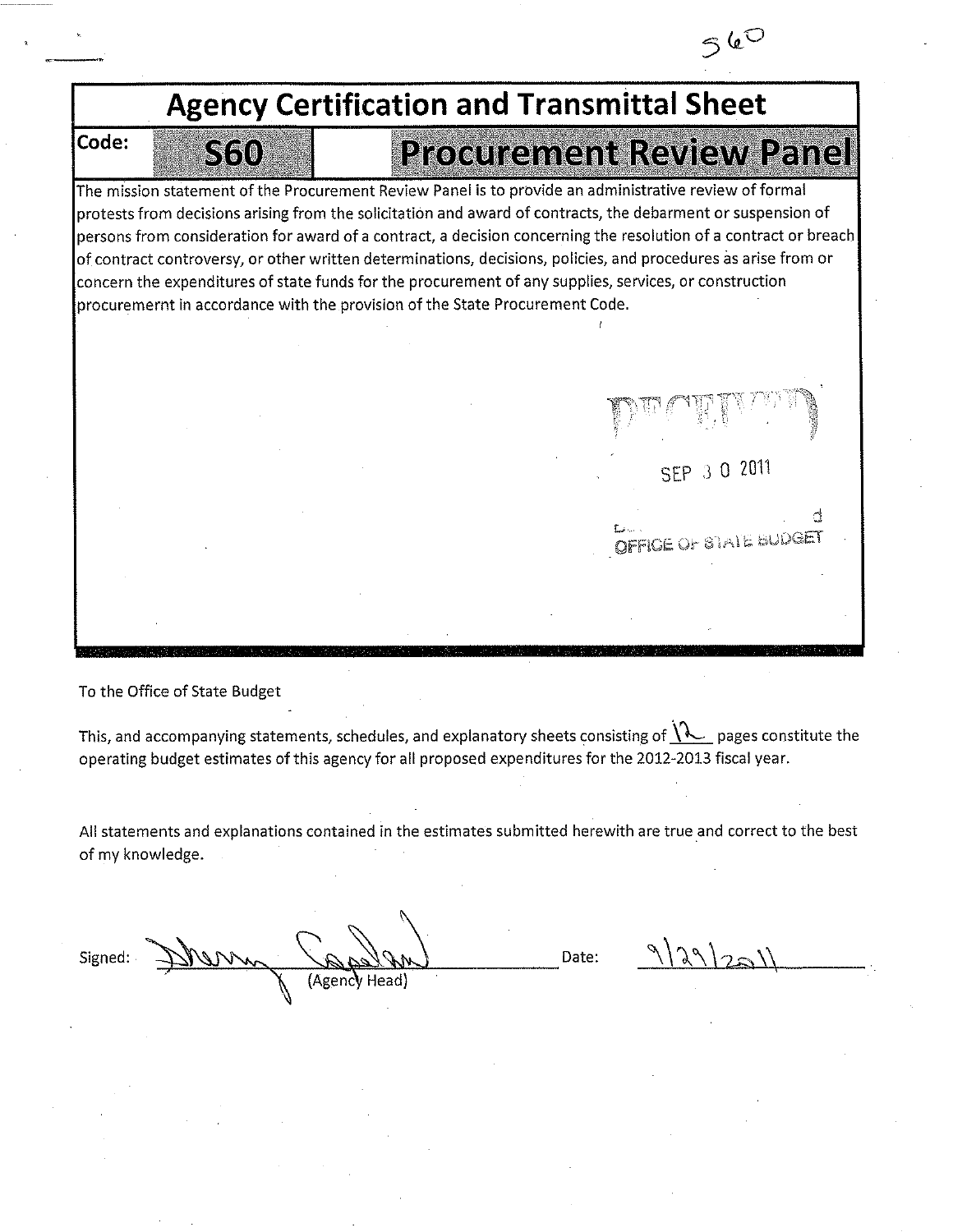$560$ **Agency Certification and Transmittal Sheet** Code:  $S50$ **Procurement Review Panel** The mission statement of the Procurement Review Panel is to provide an administrative review of formal protests from decisions arising from the solicitation and award of contracts, the debarment or suspension of persons from consideration for award of a contract, a decision concerning the resolution of a contract or breach contract controversy, or other written determinations, decisions, policies, and procedures as arise from or concern the expenditures of state funds for the procurement of any supplies, services, or construction procuremernt in accordance with the provision of the State Procurement Code. SEP J 0 2011 j L. .<br>OFFICE OF STATE BUDGET

To the Office of State Budget

This, and accompanying statements, schedules, and explanatory sheets consisting of  $\sqrt{\ }$  . pages constitute the operating budget estimates of this agency for all proposed expenditures for the 2012-2013 fiscal year.

All statements and explanations contained in the estimates submitted herewith are true and correct to the best of my knowledge.

Signed: <u>Warm Capel and</u> Date:

 $\lambda$ 9 |25 |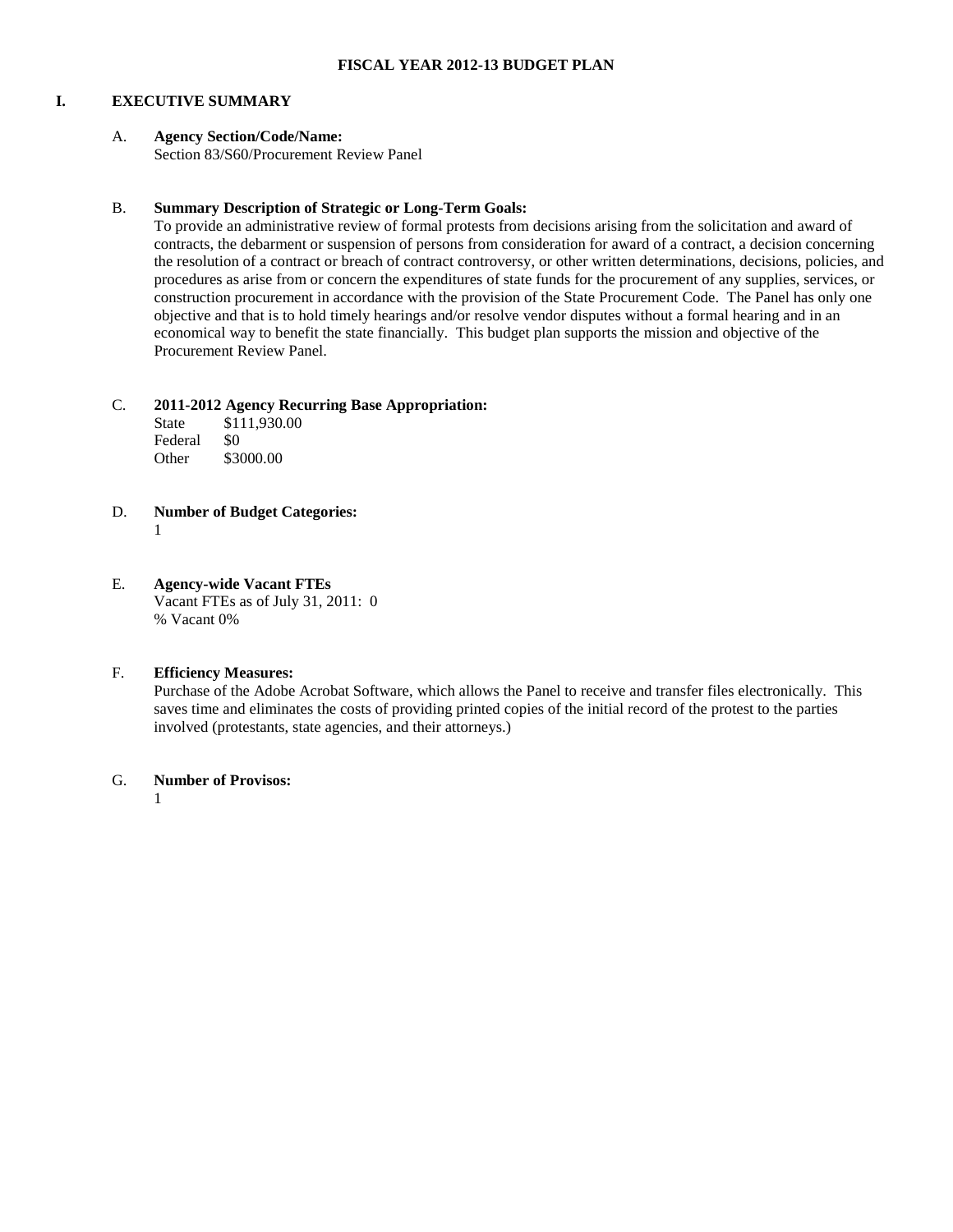#### **I. EXECUTIVE SUMMARY**

### A. **Agency Section/Code/Name:**

Section 83/S60/Procurement Review Panel

### B. **Summary Description of Strategic or Long-Term Goals:**

To provide an administrative review of formal protests from decisions arising from the solicitation and award of contracts, the debarment or suspension of persons from consideration for award of a contract, a decision concerning the resolution of a contract or breach of contract controversy, or other written determinations, decisions, policies, and procedures as arise from or concern the expenditures of state funds for the procurement of any supplies, services, or construction procurement in accordance with the provision of the State Procurement Code. The Panel has only one objective and that is to hold timely hearings and/or resolve vendor disputes without a formal hearing and in an economical way to benefit the state financially. This budget plan supports the mission and objective of the Procurement Review Panel.

### C. **2011-2012 Agency Recurring Base Appropriation:**

State \$111,930.00 Federal \$0<br>Other \$30 \$3000.00

- D. **Number of Budget Categories:**
	- 1
- E. **Agency-wide Vacant FTEs** Vacant FTEs as of July 31, 2011: 0 % Vacant 0%

### F. **Efficiency Measures:**

Purchase of the Adobe Acrobat Software, which allows the Panel to receive and transfer files electronically. This saves time and eliminates the costs of providing printed copies of the initial record of the protest to the parties involved (protestants, state agencies, and their attorneys.)

### G. **Number of Provisos:**

1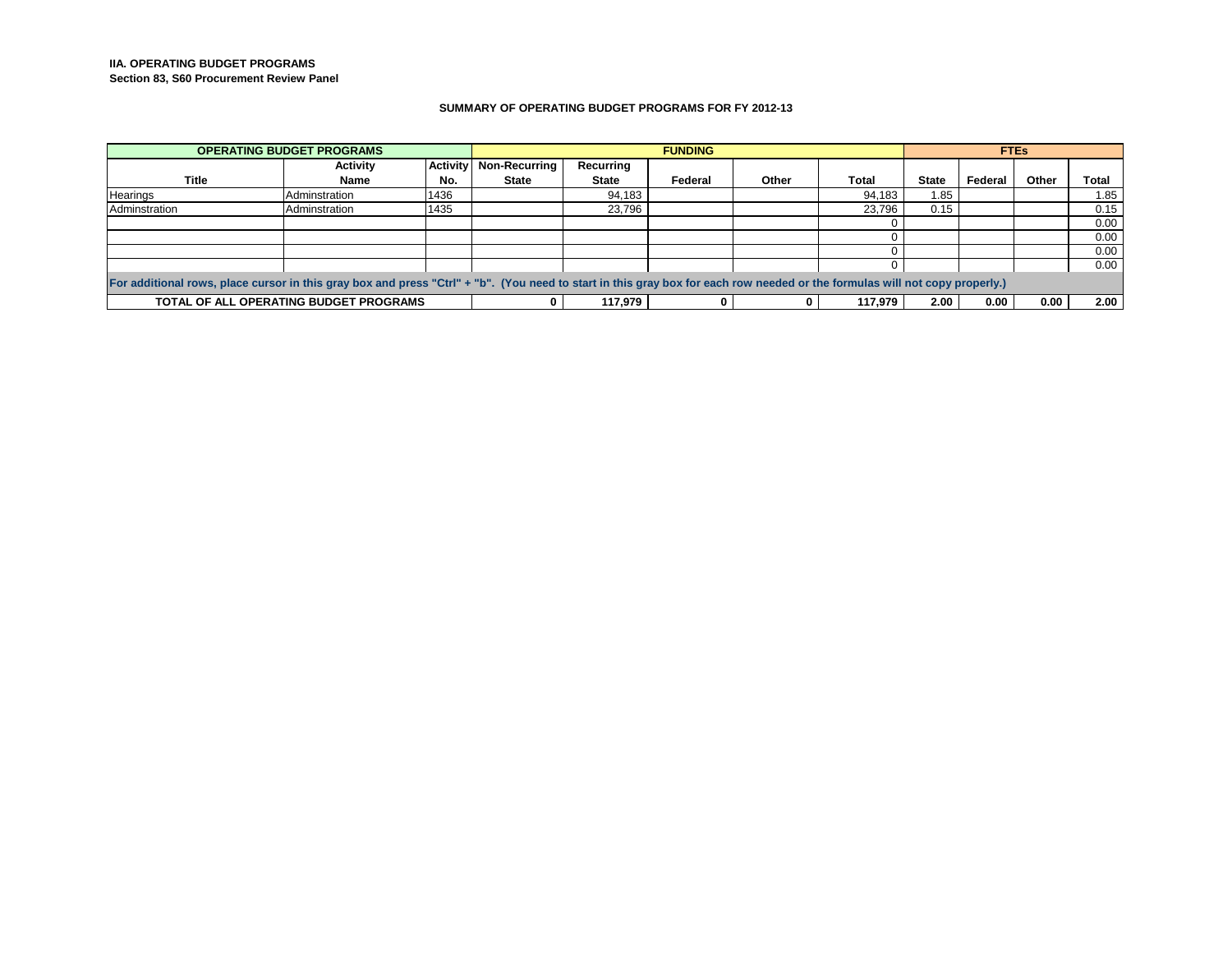**IIA. OPERATING BUDGET PROGRAMS Section 83, S60 Procurement Review Panel**

#### **SUMMARY OF OPERATING BUDGET PROGRAMS FOR FY 2012-13**

|                                                                              | <b>OPERATING BUDGET PROGRAMS</b>                                                                                                                                            |                 | <b>FUNDING</b> |              |         | <b>FTEs</b> |        |              |         |       |       |
|------------------------------------------------------------------------------|-----------------------------------------------------------------------------------------------------------------------------------------------------------------------------|-----------------|----------------|--------------|---------|-------------|--------|--------------|---------|-------|-------|
|                                                                              | <b>Activity</b>                                                                                                                                                             | <b>Activity</b> | Non-Recurring  | Recurring    |         |             |        |              |         |       |       |
| <b>Title</b>                                                                 | <b>Name</b>                                                                                                                                                                 | No.             | <b>State</b>   | <b>State</b> | Federal | Other       | Total  | <b>State</b> | Federal | Other | Total |
| Hearings                                                                     | Adminstration                                                                                                                                                               | 1436            |                | 94.183       |         |             | 94.183 | 1.85         |         |       | 1.85  |
| Adminstration                                                                | Adminstration                                                                                                                                                               | 1435            |                | 23,796       |         |             | 23.796 | 0.15         |         |       | 0.15  |
|                                                                              |                                                                                                                                                                             |                 |                |              |         |             |        |              |         |       | 0.00  |
|                                                                              |                                                                                                                                                                             |                 |                |              |         |             |        |              |         |       | 0.00  |
|                                                                              |                                                                                                                                                                             |                 |                |              |         |             |        |              |         |       | 0.00  |
|                                                                              |                                                                                                                                                                             |                 |                |              |         |             |        |              |         |       | 0.00  |
|                                                                              | For additional rows, place cursor in this gray box and press "Ctrl" + "b". (You need to start in this gray box for each row needed or the formulas will not copy properly.) |                 |                |              |         |             |        |              |         |       |       |
| TOTAL OF ALL OPERATING BUDGET PROGRAMS<br>117.979<br>117.979<br>2.00<br>0.00 |                                                                                                                                                                             |                 |                |              | 0.00    | 2.00        |        |              |         |       |       |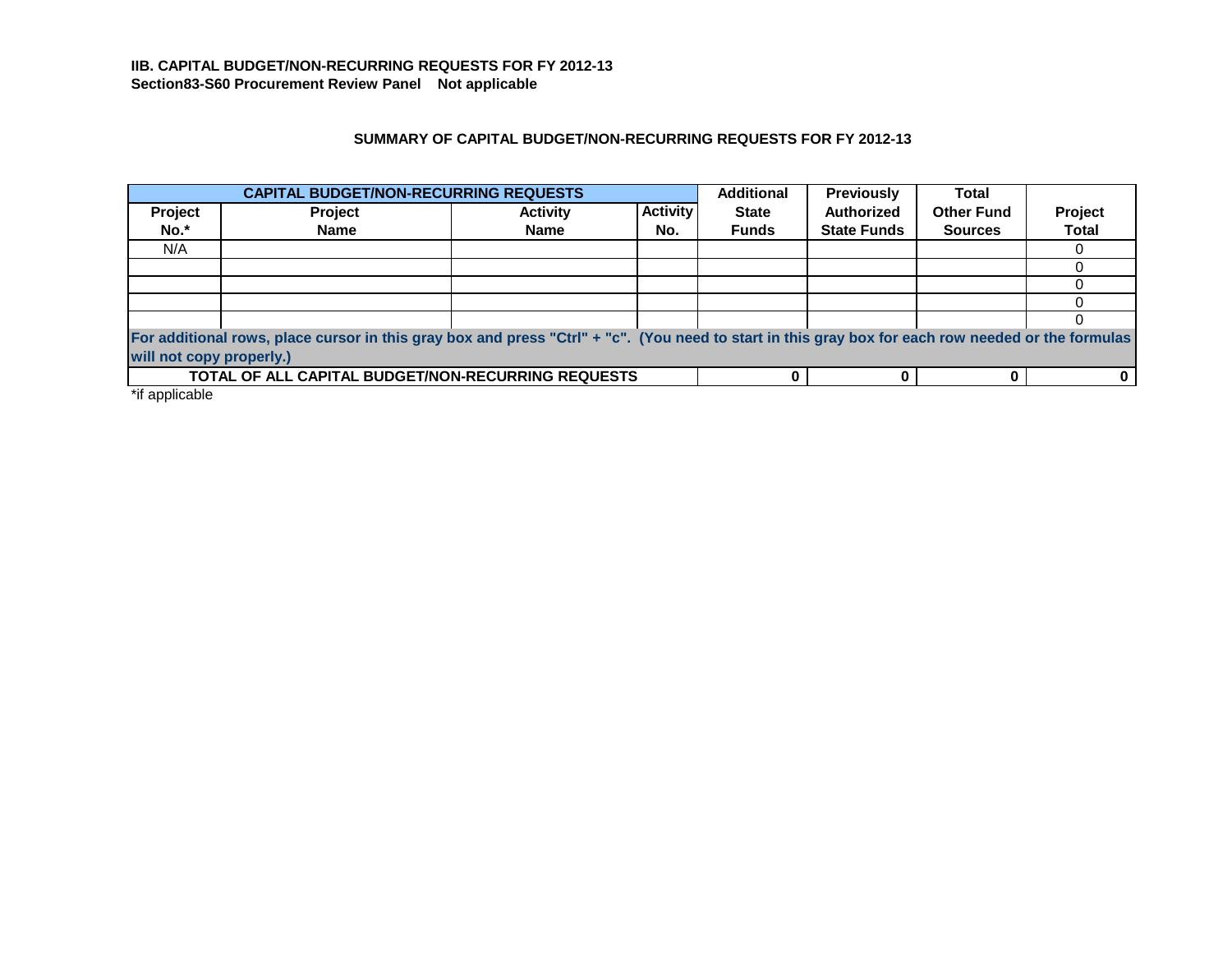## **SUMMARY OF CAPITAL BUDGET/NON-RECURRING REQUESTS FOR FY 2012-13**

|         | <b>CAPITAL BUDGET/NON-RECURRING REQUESTS</b>                                                                                                       |                 |                 | <b>Additional</b> | <b>Previously</b>  | <b>Total</b>      |              |  |  |
|---------|----------------------------------------------------------------------------------------------------------------------------------------------------|-----------------|-----------------|-------------------|--------------------|-------------------|--------------|--|--|
| Project | Project                                                                                                                                            | <b>Activity</b> | <b>Activity</b> | <b>State</b>      | <b>Authorized</b>  | <b>Other Fund</b> | Project      |  |  |
| $No.*$  | <b>Name</b>                                                                                                                                        | <b>Name</b>     | No.             | <b>Funds</b>      | <b>State Funds</b> | <b>Sources</b>    | <b>Total</b> |  |  |
| N/A     |                                                                                                                                                    |                 |                 |                   |                    |                   |              |  |  |
|         |                                                                                                                                                    |                 |                 |                   |                    |                   |              |  |  |
|         |                                                                                                                                                    |                 |                 |                   |                    |                   |              |  |  |
|         |                                                                                                                                                    |                 |                 |                   |                    |                   |              |  |  |
|         |                                                                                                                                                    |                 |                 |                   |                    |                   |              |  |  |
|         | For additional rows, place cursor in this gray box and press "Ctrl" + "c". (You need to start in this gray box for each row needed or the formulas |                 |                 |                   |                    |                   |              |  |  |
|         | will not copy properly.)                                                                                                                           |                 |                 |                   |                    |                   |              |  |  |
|         | <b>TOTAL OF ALL CAPITAL BUDGET/NON-RECURRING REQUESTS</b>                                                                                          |                 |                 |                   |                    |                   |              |  |  |

\*if applicable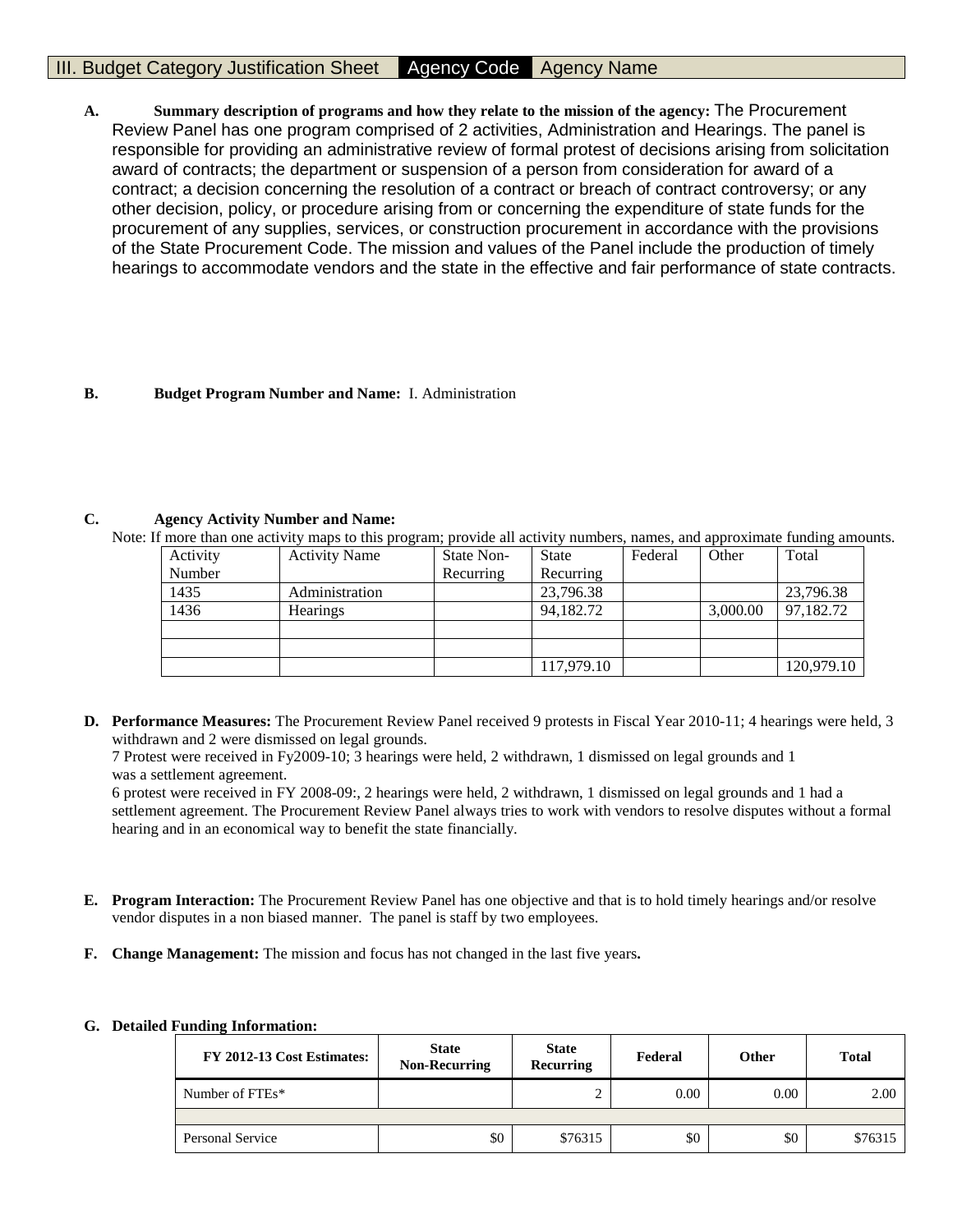# III. Budget Category Justification Sheet Agency Code Agency Name

**A. Summary description of programs and how they relate to the mission of the agency:** The Procurement Review Panel has one program comprised of 2 activities, Administration and Hearings. The panel is responsible for providing an administrative review of formal protest of decisions arising from solicitation award of contracts; the department or suspension of a person from consideration for award of a contract; a decision concerning the resolution of a contract or breach of contract controversy; or any other decision, policy, or procedure arising from or concerning the expenditure of state funds for the procurement of any supplies, services, or construction procurement in accordance with the provisions of the State Procurement Code. The mission and values of the Panel include the production of timely hearings to accommodate vendors and the state in the effective and fair performance of state contracts.

### **B. Budget Program Number and Name:** I. Administration

#### **C. Agency Activity Number and Name:**

Note: If more than one activity maps to this program; provide all activity numbers, names, and approximate funding amounts.

| Activity | <b>Activity Name</b> | State Non- | <b>State</b> | Federal | Other    | Total      |
|----------|----------------------|------------|--------------|---------|----------|------------|
| Number   |                      | Recurring  | Recurring    |         |          |            |
| 1435     | Administration       |            | 23,796.38    |         |          | 23,796.38  |
| 1436     | <b>Hearings</b>      |            | 94,182.72    |         | 3,000.00 | 97,182.72  |
|          |                      |            |              |         |          |            |
|          |                      |            |              |         |          |            |
|          |                      |            | 117,979.10   |         |          | 120,979.10 |

**D. Performance Measures:** The Procurement Review Panel received 9 protests in Fiscal Year 2010-11; 4 hearings were held, 3 withdrawn and 2 were dismissed on legal grounds.

7 Protest were received in Fy2009-10; 3 hearings were held, 2 withdrawn, 1 dismissed on legal grounds and 1 was a settlement agreement.

6 protest were received in FY 2008-09:, 2 hearings were held, 2 withdrawn, 1 dismissed on legal grounds and 1 had a settlement agreement. The Procurement Review Panel always tries to work with vendors to resolve disputes without a formal hearing and in an economical way to benefit the state financially.

- **E. Program Interaction:** The Procurement Review Panel has one objective and that is to hold timely hearings and/or resolve vendor disputes in a non biased manner. The panel is staff by two employees.
- **F. Change Management:** The mission and focus has not changed in the last five years**.**

### **G. Detailed Funding Information:**

| FY 2012-13 Cost Estimates: | <b>State</b><br><b>Non-Recurring</b> | <b>State</b><br>Recurring | Federal | Other | Total   |
|----------------------------|--------------------------------------|---------------------------|---------|-------|---------|
| Number of FTEs*            |                                      |                           | 0.00    | 0.00  | 2.00    |
|                            |                                      |                           |         |       |         |
| Personal Service           | \$0                                  | \$76315                   | \$0     | \$0   | \$76315 |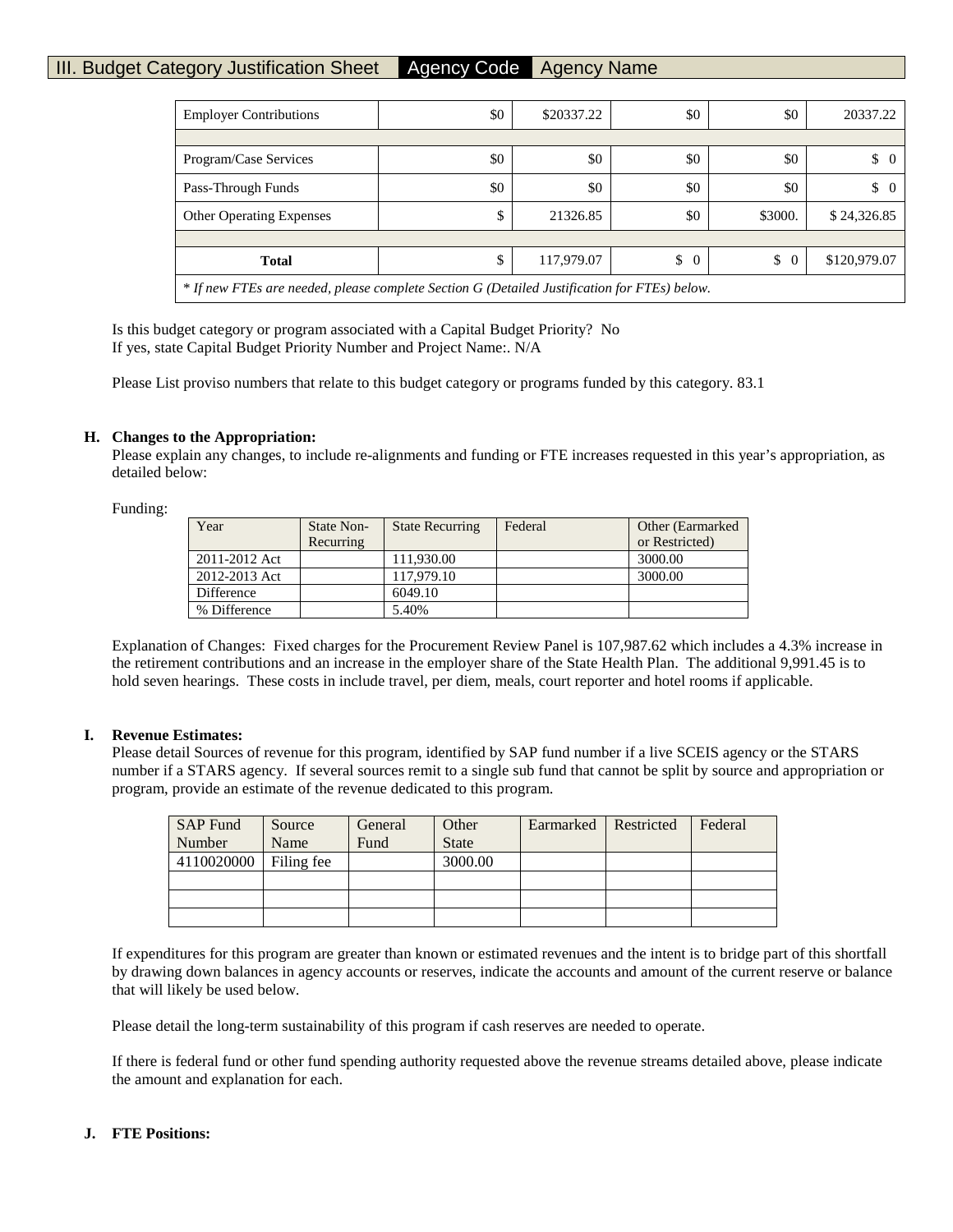# III. Budget Category Justification Sheet Agency Code Agency Name

| <b>Employer Contributions</b>                                                                | \$0 | \$20337.22 | \$0 | \$0     | 20337.22                        |  |  |  |
|----------------------------------------------------------------------------------------------|-----|------------|-----|---------|---------------------------------|--|--|--|
|                                                                                              |     |            |     |         |                                 |  |  |  |
| Program/Case Services                                                                        | \$0 | \$0        | \$0 | \$0     | $\begin{matrix} 0 \end{matrix}$ |  |  |  |
| Pass-Through Funds                                                                           | \$0 | \$0        | \$0 | \$0     | \$<br>$\Omega$                  |  |  |  |
| <b>Other Operating Expenses</b>                                                              | \$  | 21326.85   | \$0 | \$3000. | \$24,326.85                     |  |  |  |
|                                                                                              |     |            |     |         |                                 |  |  |  |
| 117,979.07<br>\$<br>\$120,979.07<br>\$<br>\$<br>$\overline{0}$<br><b>Total</b><br>$\Omega$   |     |            |     |         |                                 |  |  |  |
| * If new FTEs are needed, please complete Section G (Detailed Justification for FTEs) below. |     |            |     |         |                                 |  |  |  |

Is this budget category or program associated with a Capital Budget Priority? No If yes, state Capital Budget Priority Number and Project Name:. N/A

Please List proviso numbers that relate to this budget category or programs funded by this category. 83.1

#### **H. Changes to the Appropriation:**

Please explain any changes, to include re-alignments and funding or FTE increases requested in this year's appropriation, as detailed below:

| unding' |  |
|---------|--|
|---------|--|

| Year          | State Non- | <b>State Recurring</b> | Federal | Other (Earmarked) |
|---------------|------------|------------------------|---------|-------------------|
|               | Recurring  |                        |         | or Restricted)    |
| 2011-2012 Act |            | 111.930.00             |         | 3000.00           |
| 2012-2013 Act |            | 117,979.10             |         | 3000.00           |
| Difference    |            | 6049.10                |         |                   |
| % Difference  |            | 5.40%                  |         |                   |

Explanation of Changes: Fixed charges for the Procurement Review Panel is 107,987.62 which includes a 4.3% increase in the retirement contributions and an increase in the employer share of the State Health Plan. The additional 9,991.45 is to hold seven hearings. These costs in include travel, per diem, meals, court reporter and hotel rooms if applicable.

#### **I. Revenue Estimates:**

Please detail Sources of revenue for this program, identified by SAP fund number if a live SCEIS agency or the STARS number if a STARS agency. If several sources remit to a single sub fund that cannot be split by source and appropriation or program, provide an estimate of the revenue dedicated to this program.

| <b>SAP Fund</b> | Source     | General | Other        | Earmarked   Restricted | Federal |
|-----------------|------------|---------|--------------|------------------------|---------|
| Number          | Name       | Fund    | <b>State</b> |                        |         |
| 4110020000      | Filing fee |         | 3000.00      |                        |         |
|                 |            |         |              |                        |         |
|                 |            |         |              |                        |         |
|                 |            |         |              |                        |         |

If expenditures for this program are greater than known or estimated revenues and the intent is to bridge part of this shortfall by drawing down balances in agency accounts or reserves, indicate the accounts and amount of the current reserve or balance that will likely be used below.

Please detail the long-term sustainability of this program if cash reserves are needed to operate.

If there is federal fund or other fund spending authority requested above the revenue streams detailed above, please indicate the amount and explanation for each.

### **J. FTE Positions:**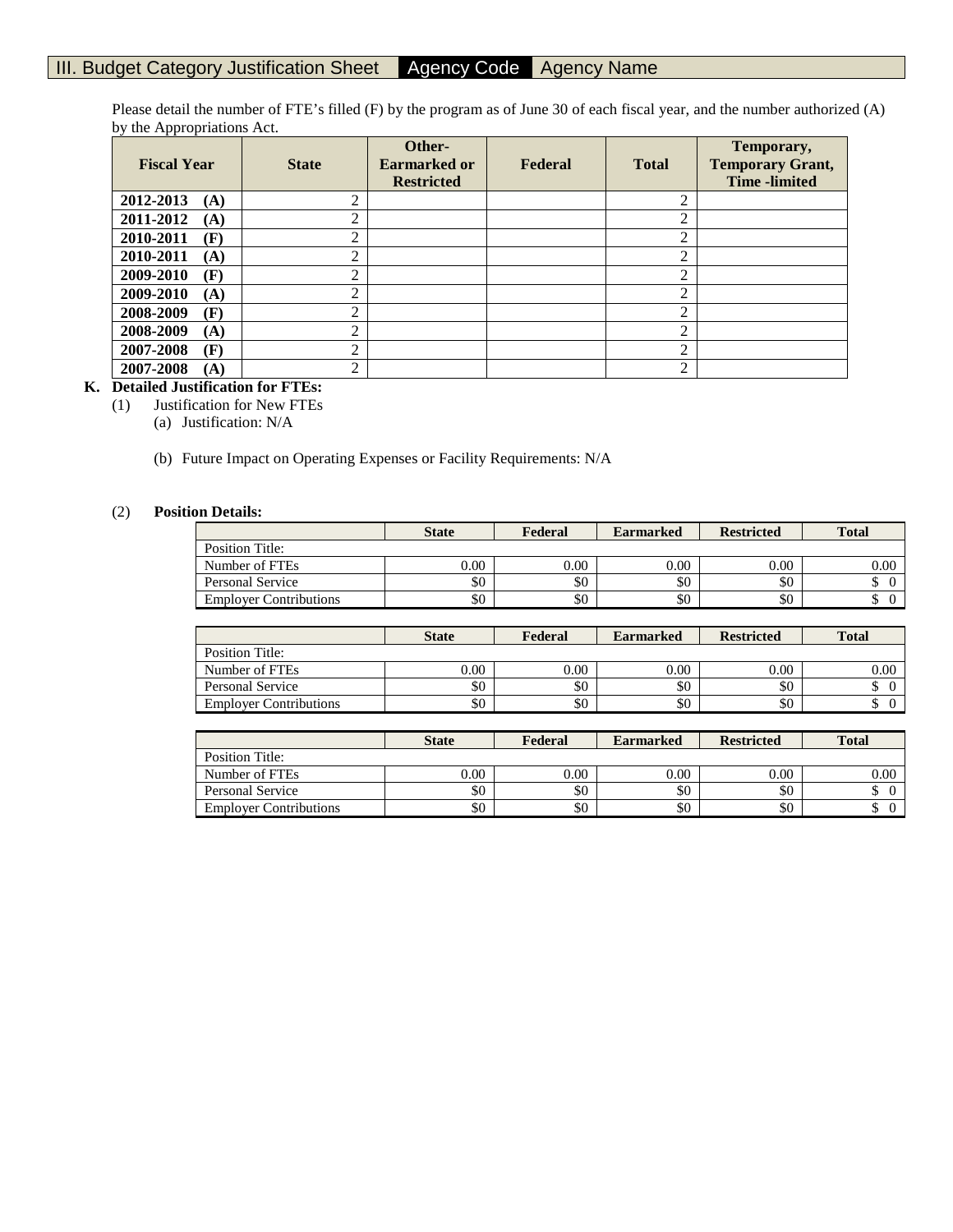# III. Budget Category Justification Sheet Agency Code Agency Name

Please detail the number of FTE's filled (F) by the program as of June 30 of each fiscal year, and the number authorized (A) by the Appropriations Act.

| <b>Fiscal Year</b> | <b>State</b>  | Other-<br><b>Earmarked or</b><br><b>Restricted</b> | Federal | <b>Total</b>   | Temporary,<br><b>Temporary Grant,</b><br><b>Time</b> -limited |
|--------------------|---------------|----------------------------------------------------|---------|----------------|---------------------------------------------------------------|
| 2012-2013<br>(A)   | ↑             |                                                    |         | $\overline{2}$ |                                                               |
| 2011-2012<br>(A)   | ↑             |                                                    |         | $\overline{2}$ |                                                               |
| 2010-2011<br>(F)   | ◠             |                                                    |         | $\overline{2}$ |                                                               |
| 2010-2011<br>(A)   | ◠             |                                                    |         | 2              |                                                               |
| (F)<br>2009-2010   | ↑             |                                                    |         | $\overline{2}$ |                                                               |
| 2009-2010<br>(A)   | 2             |                                                    |         | $\overline{2}$ |                                                               |
| 2008-2009<br>(F)   | ◠             |                                                    |         | $\overline{2}$ |                                                               |
| 2008-2009<br>(A)   | 2             |                                                    |         | $\overline{2}$ |                                                               |
| 2007-2008<br>(F)   | $\mathcal{D}$ |                                                    |         | $\overline{2}$ |                                                               |
| 2007-2008<br>(A)   | ↑             |                                                    |         | $\overline{2}$ |                                                               |

#### **K. Detailed Justification for FTEs:**

- (1) Justification for New FTEs
	- (a) Justification: N/A
	- (b) Future Impact on Operating Expenses or Facility Requirements: N/A

#### (2) **Position Details:**

|                               | <b>State</b> | Federal | <b>Earmarked</b> | <b>Restricted</b> | <b>Total</b> |
|-------------------------------|--------------|---------|------------------|-------------------|--------------|
| Position Title:               |              |         |                  |                   |              |
| Number of FTEs                | 0.00         | 0.00    | 0.00             | 0.00              | 0.00         |
| Personal Service              | \$0          | \$0     | \$0              | \$0               | ◡            |
| <b>Employer Contributions</b> | \$0          | \$0     | \$0              | \$0               | ◡            |

|                               | <b>State</b> | Federal  | <b>Earmarked</b> | <b>Restricted</b> | <b>Total</b> |
|-------------------------------|--------------|----------|------------------|-------------------|--------------|
| Position Title:               |              |          |                  |                   |              |
| Number of FTEs                | 0.00         | $0.00\,$ | 0.00             | 0.00              | 0.00         |
| Personal Service              | \$0          | \$0      | \$0              | \$0               | Φ            |
| <b>Employer Contributions</b> | \$0          | \$0      | \$0              | \$0               | ◡            |

|                               | <b>State</b> | Federal | <b>Earmarked</b> | <b>Restricted</b> | <b>Total</b> |
|-------------------------------|--------------|---------|------------------|-------------------|--------------|
| Position Title:               |              |         |                  |                   |              |
| Number of FTEs                | 0.00         | 0.00    | 0.00             | 0.00              | 0.00         |
| Personal Service              | \$0          | \$0     | \$0              | \$0               |              |
| <b>Employer Contributions</b> | \$0          | \$0     | \$0              | \$0               |              |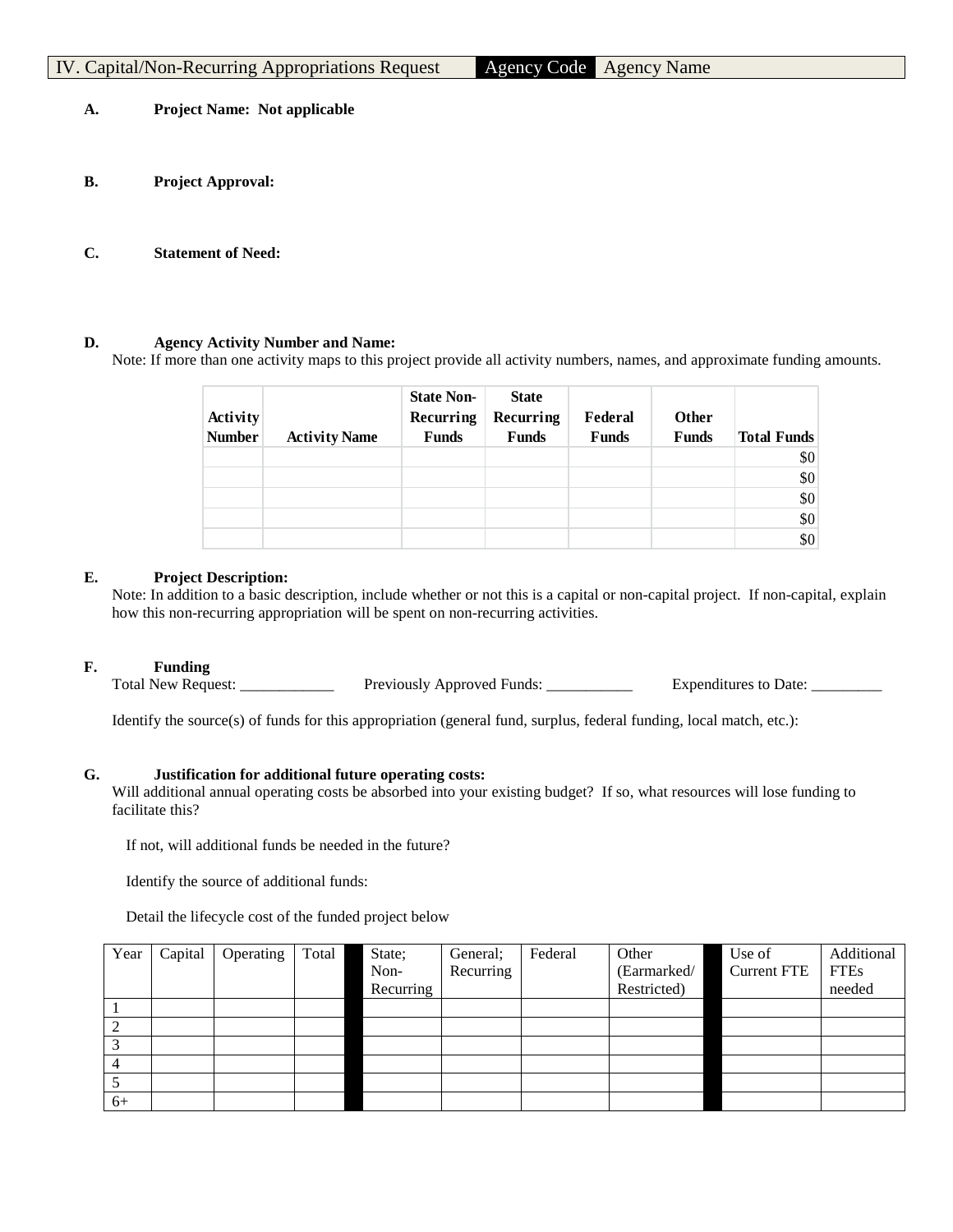| IV. Capital/Non-Recurring Appropriations Request |  | Agency Code   Agency Name |
|--------------------------------------------------|--|---------------------------|
|                                                  |  |                           |

**A. Project Name: Not applicable**

- **B. Project Approval:**
- **C. Statement of Need:**

### **D. Agency Activity Number and Name:**

Note: If more than one activity maps to this project provide all activity numbers, names, and approximate funding amounts.

|               |                      | <b>State Non-</b> | <b>State</b> |              |              |                    |
|---------------|----------------------|-------------------|--------------|--------------|--------------|--------------------|
| Activity      |                      | Recurring         | Recurring    | Federal      | Other        |                    |
| <b>Number</b> | <b>Activity Name</b> | <b>Funds</b>      | <b>Funds</b> | <b>Funds</b> | <b>Funds</b> | <b>Total Funds</b> |
|               |                      |                   |              |              |              | \$0                |
|               |                      |                   |              |              |              | \$0                |
|               |                      |                   |              |              |              | \$0                |
|               |                      |                   |              |              |              | \$0                |
|               |                      |                   |              |              |              | \$0                |

### **E. Project Description:**

Note: In addition to a basic description, include whether or not this is a capital or non-capital project. If non-capital, explain how this non-recurring appropriation will be spent on non-recurring activities.

### **F. Funding**

Total New Request: \_\_\_\_\_\_\_\_\_\_\_\_\_\_ Previously Approved Funds: \_\_\_\_\_\_\_\_\_\_\_\_ Expenditures to Date: \_\_\_\_\_\_\_

Identify the source(s) of funds for this appropriation (general fund, surplus, federal funding, local match, etc.):

#### **G. Justification for additional future operating costs:**

Will additional annual operating costs be absorbed into your existing budget? If so, what resources will lose funding to facilitate this?

If not, will additional funds be needed in the future?

Identify the source of additional funds:

Detail the lifecycle cost of the funded project below

| Year | Capital | Operating | Total | State;    | General;  | Federal | Other       | Use of             | Additional  |
|------|---------|-----------|-------|-----------|-----------|---------|-------------|--------------------|-------------|
|      |         |           |       | Non-      | Recurring |         | (Earmarked/ | <b>Current FTE</b> | <b>FTEs</b> |
|      |         |           |       | Recurring |           |         | Restricted) |                    | needed      |
|      |         |           |       |           |           |         |             |                    |             |
|      |         |           |       |           |           |         |             |                    |             |
|      |         |           |       |           |           |         |             |                    |             |
|      |         |           |       |           |           |         |             |                    |             |
|      |         |           |       |           |           |         |             |                    |             |
| $6+$ |         |           |       |           |           |         |             |                    |             |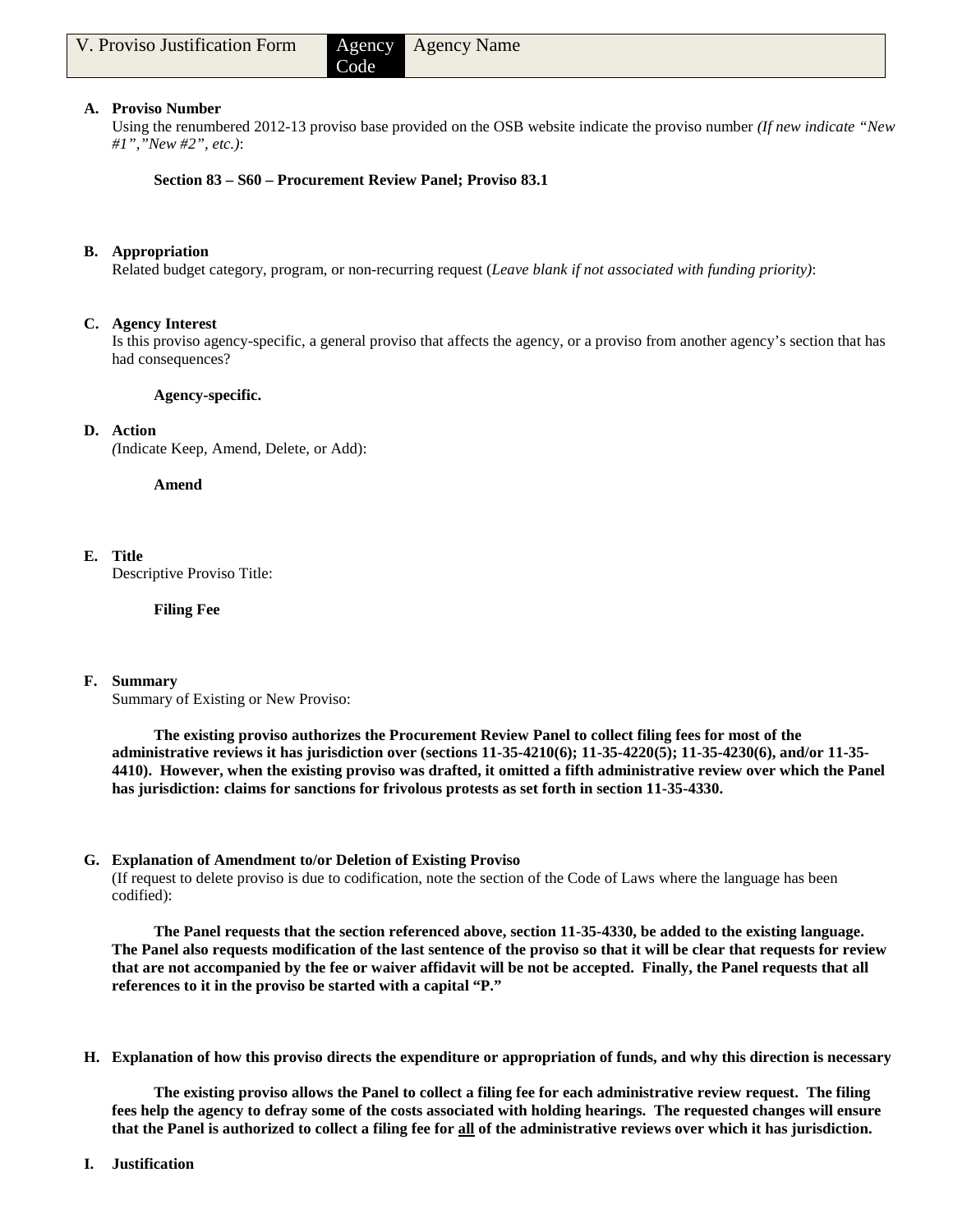#### **A. Proviso Number**

Using the renumbered 2012-13 proviso base provided on the OSB website indicate the proviso number *(If new indicate "New #1","New #2", etc.)*:

**Section 83 – S60 – Procurement Review Panel; Proviso 83.1**

Code

#### **B. Appropriation**

Related budget category, program, or non-recurring request (*Leave blank if not associated with funding priority)*:

#### **C. Agency Interest**

Is this proviso agency-specific, a general proviso that affects the agency, or a proviso from another agency's section that has had consequences?

**Agency-specific.**

#### **D. Action**

*(*Indicate Keep, Amend, Delete, or Add):

**Amend**

### **E. Title**

Descriptive Proviso Title:

**Filing Fee**

### **F. Summary**

Summary of Existing or New Proviso:

**The existing proviso authorizes the Procurement Review Panel to collect filing fees for most of the administrative reviews it has jurisdiction over (sections 11-35-4210(6); 11-35-4220(5); 11-35-4230(6), and/or 11-35- 4410). However, when the existing proviso was drafted, it omitted a fifth administrative review over which the Panel has jurisdiction: claims for sanctions for frivolous protests as set forth in section 11-35-4330.**

### **G. Explanation of Amendment to/or Deletion of Existing Proviso**

(If request to delete proviso is due to codification, note the section of the Code of Laws where the language has been codified):

**The Panel requests that the section referenced above, section 11-35-4330, be added to the existing language. The Panel also requests modification of the last sentence of the proviso so that it will be clear that requests for review that are not accompanied by the fee or waiver affidavit will be not be accepted. Finally, the Panel requests that all references to it in the proviso be started with a capital "P."**

**H. Explanation of how this proviso directs the expenditure or appropriation of funds, and why this direction is necessary**

**The existing proviso allows the Panel to collect a filing fee for each administrative review request. The filing fees help the agency to defray some of the costs associated with holding hearings. The requested changes will ensure that the Panel is authorized to collect a filing fee for all of the administrative reviews over which it has jurisdiction.**

**I. Justification**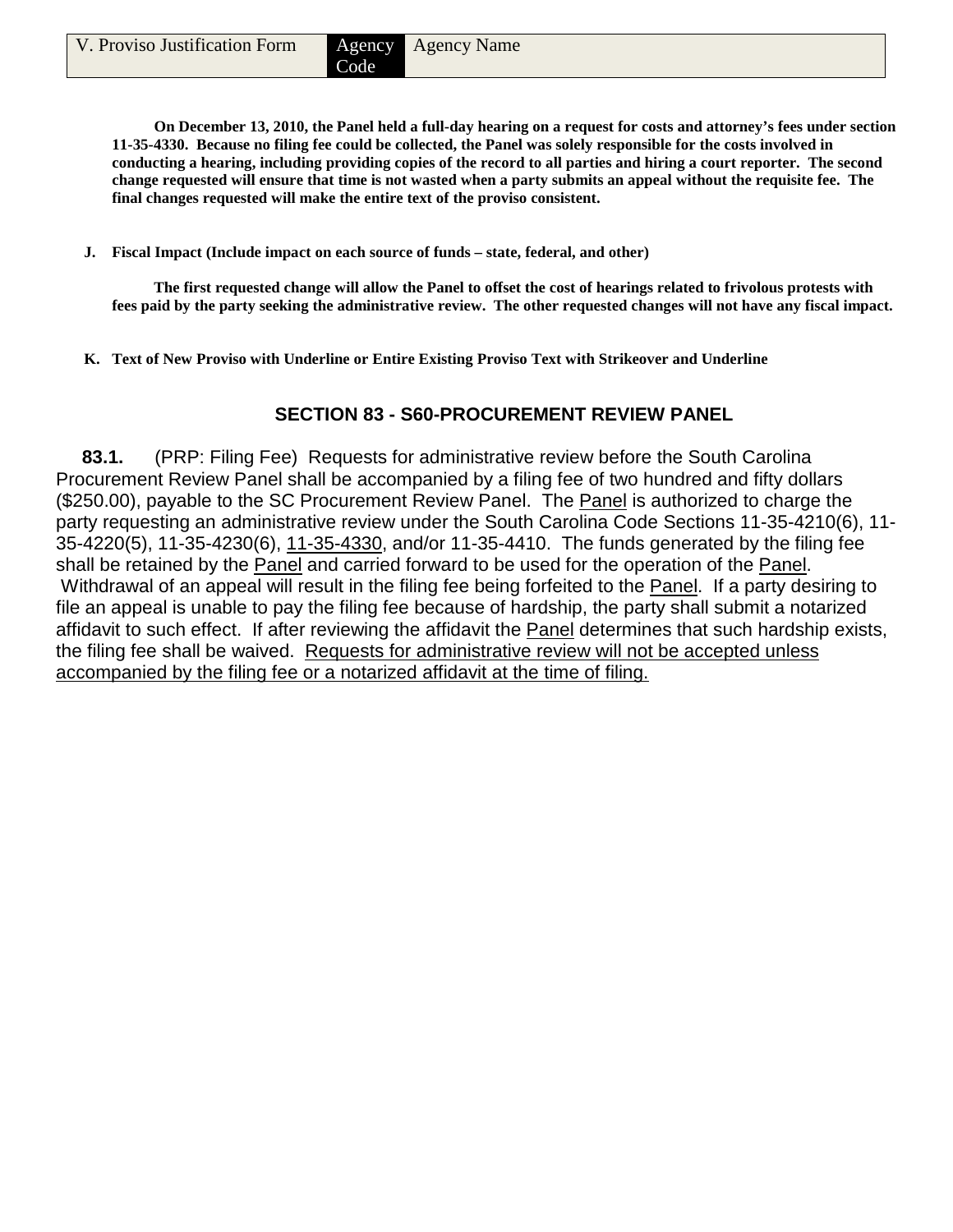**On December 13, 2010, the Panel held a full-day hearing on a request for costs and attorney's fees under section 11-35-4330. Because no filing fee could be collected, the Panel was solely responsible for the costs involved in conducting a hearing, including providing copies of the record to all parties and hiring a court reporter. The second change requested will ensure that time is not wasted when a party submits an appeal without the requisite fee. The final changes requested will make the entire text of the proviso consistent.**

**J. Fiscal Impact (Include impact on each source of funds – state, federal, and other)**

Code

**The first requested change will allow the Panel to offset the cost of hearings related to frivolous protests with fees paid by the party seeking the administrative review. The other requested changes will not have any fiscal impact.**

**K. Text of New Proviso with Underline or Entire Existing Proviso Text with Strikeover and Underline**

# **SECTION 83 - S60-PROCUREMENT REVIEW PANEL**

 **83.1.** (PRP: Filing Fee) Requests for administrative review before the South Carolina Procurement Review Panel shall be accompanied by a filing fee of two hundred and fifty dollars (\$250.00), payable to the SC Procurement Review Panel. The Panel is authorized to charge the party requesting an administrative review under the South Carolina Code Sections 11-35-4210(6), 11- 35-4220(5), 11-35-4230(6), 11-35-4330, and/or 11-35-4410. The funds generated by the filing fee shall be retained by the Panel and carried forward to be used for the operation of the Panel. Withdrawal of an appeal will result in the filing fee being forfeited to the Panel. If a party desiring to file an appeal is unable to pay the filing fee because of hardship, the party shall submit a notarized affidavit to such effect. If after reviewing the affidavit the Panel determines that such hardship exists, the filing fee shall be waived. Requests for administrative review will not be accepted unless accompanied by the filing fee or a notarized affidavit at the time of filing.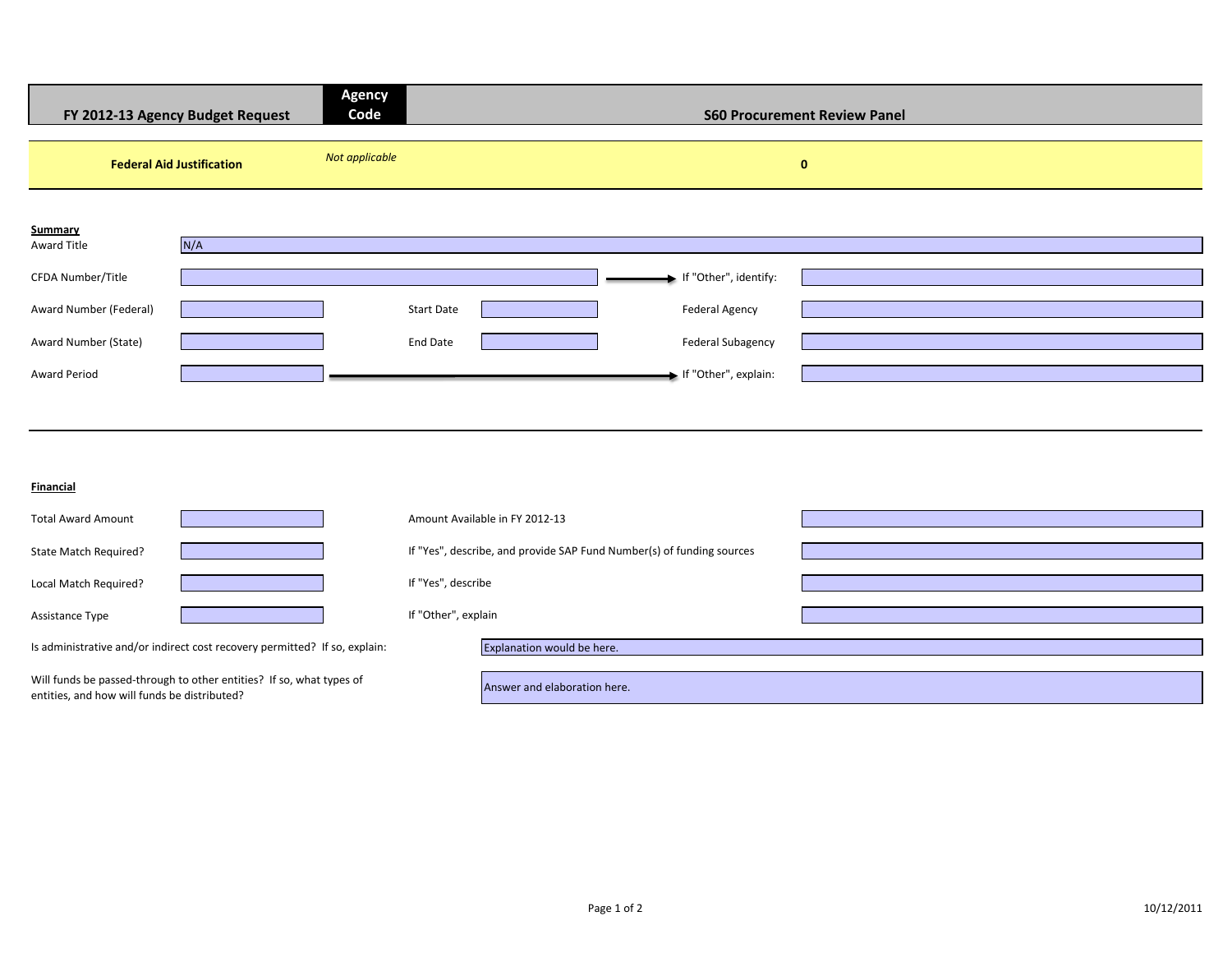| FY 2012-13 Agency Budget Request                                                                                     |     | Agency<br>Code | <b>S60 Procurement Review Panel</b>                                                                                           |
|----------------------------------------------------------------------------------------------------------------------|-----|----------------|-------------------------------------------------------------------------------------------------------------------------------|
| <b>Federal Aid Justification</b>                                                                                     |     | Not applicable | $\pmb{0}$                                                                                                                     |
| Summary<br>Award Title<br>CFDA Number/Title<br>Award Number (Federal)                                                | N/A |                | If "Other", identify:<br>Federal Agency<br><b>Start Date</b>                                                                  |
| Award Number (State)<br>Award Period                                                                                 |     |                | <b>Federal Subagency</b><br>End Date<br>If "Other", explain:                                                                  |
| <b>Financial</b>                                                                                                     |     |                |                                                                                                                               |
| <b>Total Award Amount</b><br>State Match Required?<br>Local Match Required?                                          |     |                | Amount Available in FY 2012-13<br>If "Yes", describe, and provide SAP Fund Number(s) of funding sources<br>If "Yes", describe |
| Assistance Type<br>Is administrative and/or indirect cost recovery permitted? If so, explain:                        |     |                | If "Other", explain<br>Explanation would be here.                                                                             |
| Will funds be passed-through to other entities? If so, what types of<br>entities, and how will funds be distributed? |     |                | Answer and elaboration here.                                                                                                  |